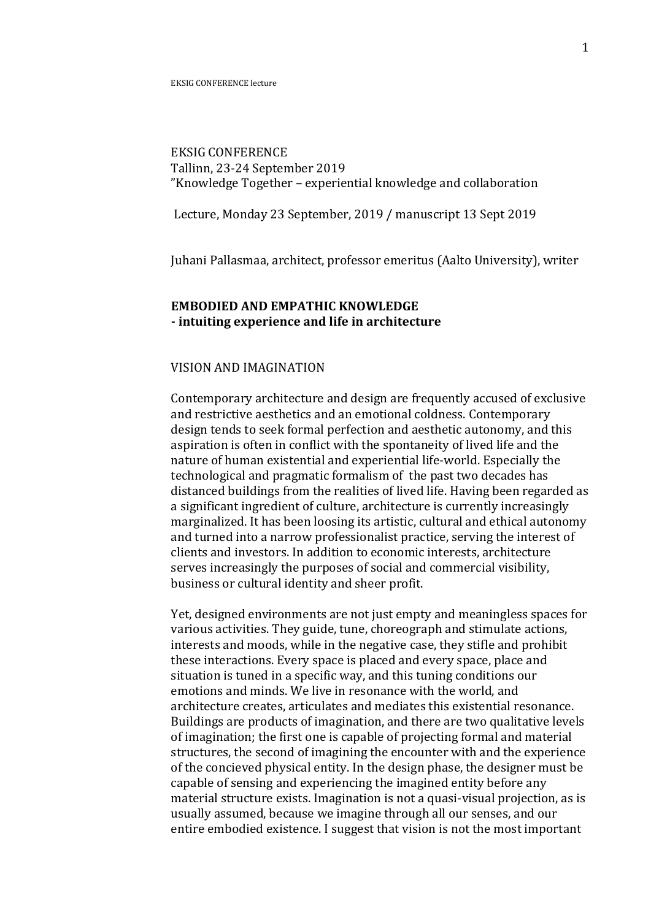**EKSIG CONFERENCE** Tallinn, 23-24 September 2019 "Knowledge Together – experiential knowledge and collaboration

Lecture, Monday 23 September, 2019 / manuscript 13 Sept 2019

Juhani Pallasmaa, architect, professor emeritus (Aalto University), writer

# **EMBODIED AND EMPATHIC KNOWLEDGE - intuiting experience and life in architecture**

### VISION AND IMAGINATION

Contemporary architecture and design are frequently accused of exclusive and restrictive aesthetics and an emotional coldness. Contemporary design tends to seek formal perfection and aesthetic autonomy, and this aspiration is often in conflict with the spontaneity of lived life and the nature of human existential and experiential life-world. Especially the technological and pragmatic formalism of the past two decades has distanced buildings from the realities of lived life. Having been regarded as a significant ingredient of culture, architecture is currently increasingly marginalized. It has been loosing its artistic, cultural and ethical autonomy and turned into a narrow professionalist practice, serving the interest of clients and investors. In addition to economic interests, architecture serves increasingly the purposes of social and commercial visibility, business or cultural identity and sheer profit.

Yet, designed environments are not just empty and meaningless spaces for various activities. They guide, tune, choreograph and stimulate actions, interests and moods, while in the negative case, they stifle and prohibit these interactions. Every space is placed and every space, place and situation is tuned in a specific way, and this tuning conditions our emotions and minds. We live in resonance with the world, and architecture creates, articulates and mediates this existential resonance. Buildings are products of imagination, and there are two qualitative levels of imagination; the first one is capable of projecting formal and material structures, the second of imagining the encounter with and the experience of the concieved physical entity. In the design phase, the designer must be capable of sensing and experiencing the imagined entity before any material structure exists. Imagination is not a quasi-visual projection, as is usually assumed, because we imagine through all our senses, and our entire embodied existence. I suggest that vision is not the most important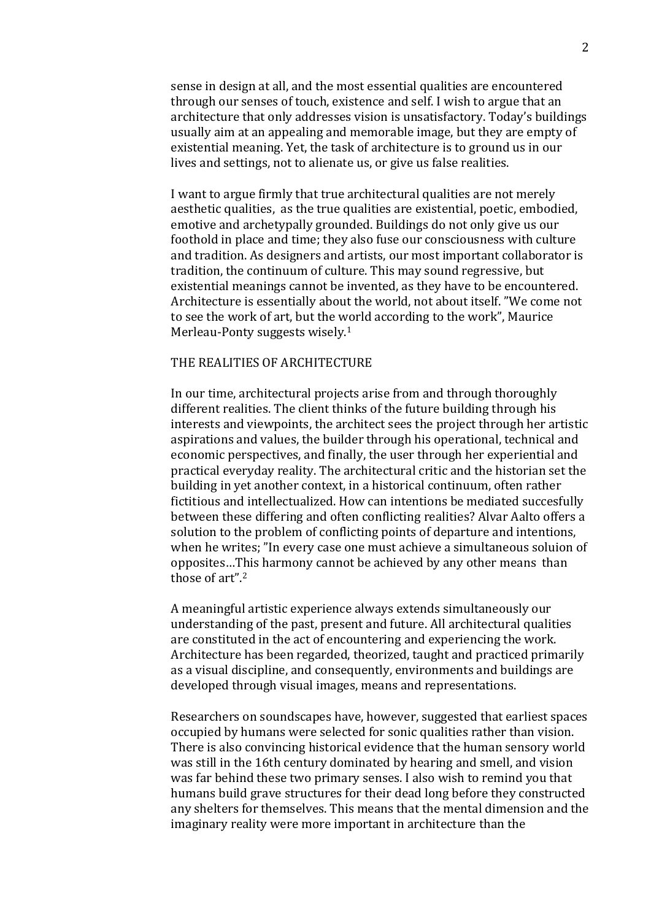sense in design at all, and the most essential qualities are encountered through our senses of touch, existence and self. I wish to argue that an architecture that only addresses vision is unsatisfactory. Today's buildings usually aim at an appealing and memorable image, but they are empty of existential meaning. Yet, the task of architecture is to ground us in our lives and settings, not to alienate us, or give us false realities.

I want to argue firmly that true architectural qualities are not merely aesthetic qualities, as the true qualities are existential, poetic, embodied, emotive and archetypally grounded. Buildings do not only give us our foothold in place and time; they also fuse our consciousness with culture and tradition. As designers and artists, our most important collaborator is tradition, the continuum of culture. This may sound regressive, but existential meanings cannot be invented, as they have to be encountered. Architecture is essentially about the world, not about itself. "We come not to see the work of art, but the world according to the work", Maurice Merleau-Ponty suggests wisely.<sup>1</sup>

### THE REALITIES OF ARCHITECTURE

In our time, architectural projects arise from and through thoroughly different realities. The client thinks of the future building through his interests and viewpoints, the architect sees the project through her artistic aspirations and values, the builder through his operational, technical and economic perspectives, and finally, the user through her experiential and practical everyday reality. The architectural critic and the historian set the building in yet another context, in a historical continuum, often rather fictitious and intellectualized. How can intentions be mediated succesfully between these differing and often conflicting realities? Alvar Aalto offers a solution to the problem of conflicting points of departure and intentions, when he writes; "In every case one must achieve a simultaneous soluion of opposites...This harmony cannot be achieved by any other means than those of  $art$ ".<sup>2</sup>

A meaningful artistic experience always extends simultaneously our understanding of the past, present and future. All architectural qualities are constituted in the act of encountering and experiencing the work. Architecture has been regarded, theorized, taught and practiced primarily as a visual discipline, and consequently, environments and buildings are developed through visual images, means and representations.

Researchers on soundscapes have, however, suggested that earliest spaces occupied by humans were selected for sonic qualities rather than vision. There is also convincing historical evidence that the human sensory world was still in the 16th century dominated by hearing and smell, and vision was far behind these two primary senses. I also wish to remind you that humans build grave structures for their dead long before they constructed any shelters for themselves. This means that the mental dimension and the imaginary reality were more important in architecture than the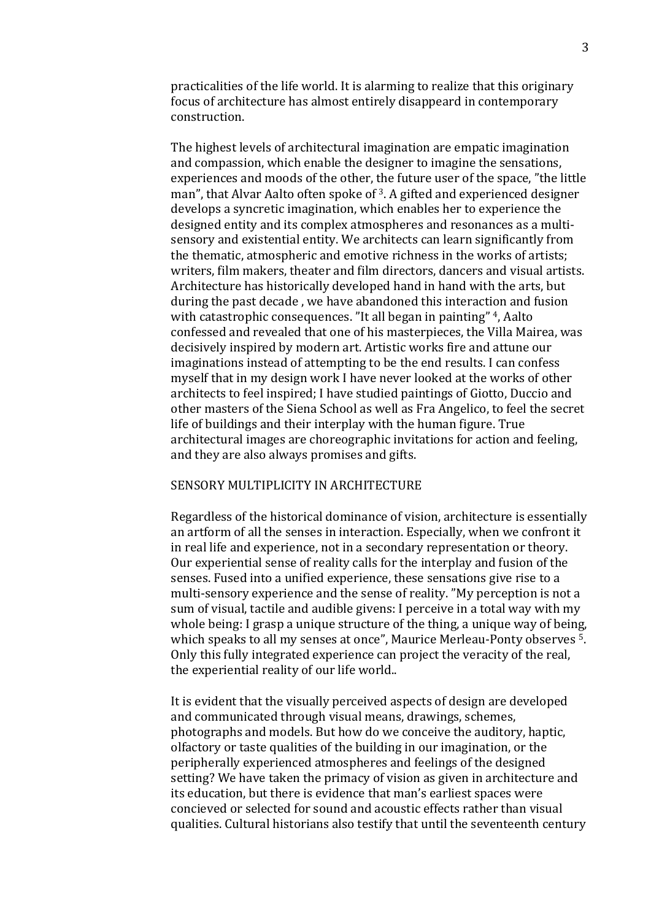practicalities of the life world. It is alarming to realize that this originary focus of architecture has almost entirely disappeard in contemporary construction.

The highest levels of architectural imagination are empatic imagination and compassion, which enable the designer to imagine the sensations, experiences and moods of the other, the future user of the space, "the little man", that Alvar Aalto often spoke of  $3$ . A gifted and experienced designer develops a syncretic imagination, which enables her to experience the designed entity and its complex atmospheres and resonances as a multisensory and existential entity. We architects can learn significantly from the thematic, atmospheric and emotive richness in the works of artists; writers, film makers, theater and film directors, dancers and visual artists. Architecture has historically developed hand in hand with the arts, but during the past decade, we have abandoned this interaction and fusion with catastrophic consequences. "It all began in painting"  $4$ , Aalto confessed and revealed that one of his masterpieces, the Villa Mairea, was decisively inspired by modern art. Artistic works fire and attune our imaginations instead of attempting to be the end results. I can confess myself that in my design work I have never looked at the works of other architects to feel inspired; I have studied paintings of Giotto, Duccio and other masters of the Siena School as well as Fra Angelico, to feel the secret life of buildings and their interplay with the human figure. True architectural images are choreographic invitations for action and feeling, and they are also always promises and gifts.

## SENSORY MULTIPLICITY IN ARCHITECTURE

Regardless of the historical dominance of vision, architecture is essentially an artform of all the senses in interaction. Especially, when we confront it in real life and experience, not in a secondary representation or theory. Our experiential sense of reality calls for the interplay and fusion of the senses. Fused into a unified experience, these sensations give rise to a multi-sensory experience and the sense of reality. "My perception is not a sum of visual, tactile and audible givens: I perceive in a total way with my whole being: I grasp a unique structure of the thing, a unique way of being, which speaks to all my senses at once", Maurice Merleau-Ponty observes <sup>5</sup>. Only this fully integrated experience can project the veracity of the real, the experiential reality of our life world..

It is evident that the visually perceived aspects of design are developed and communicated through visual means, drawings, schemes, photographs and models. But how do we conceive the auditory, haptic, olfactory or taste qualities of the building in our imagination, or the peripherally experienced atmospheres and feelings of the designed setting? We have taken the primacy of vision as given in architecture and its education, but there is evidence that man's earliest spaces were concieved or selected for sound and acoustic effects rather than visual qualities. Cultural historians also testify that until the seventeenth century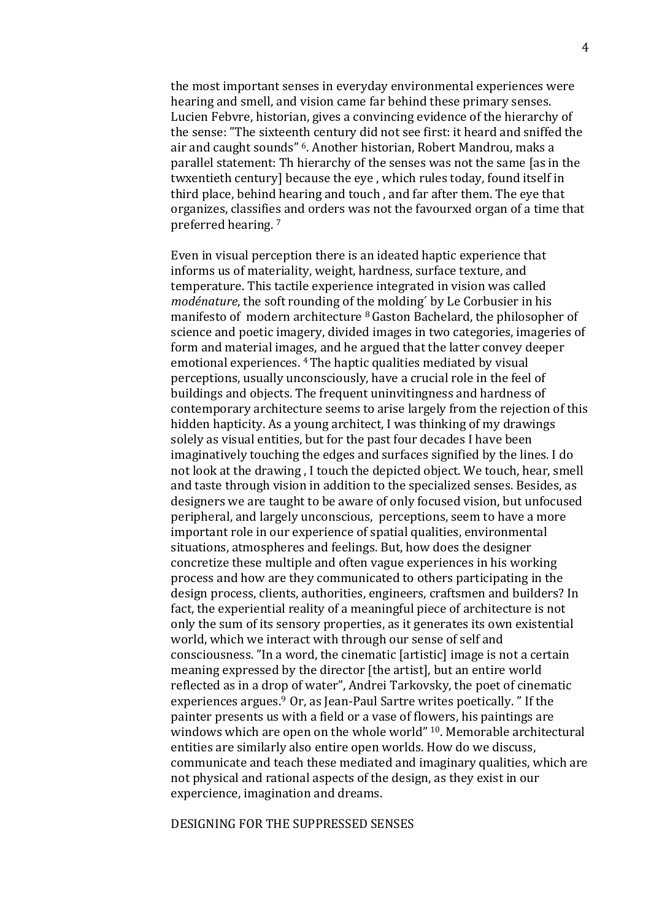the most important senses in everyday environmental experiences were hearing and smell, and vision came far behind these primary senses. Lucien Febvre, historian, gives a convincing evidence of the hierarchy of the sense: "The sixteenth century did not see first: it heard and sniffed the air and caught sounds" <sup>6</sup>. Another historian, Robert Mandrou. maks a parallel statement: Th hierarchy of the senses was not the same [as in the twxentieth century] because the eye, which rules today, found itself in third place, behind hearing and touch, and far after them. The eye that organizes, classifies and orders was not the favourxed organ of a time that preferred hearing.<sup>7</sup>

Even in visual perception there is an ideated haptic experience that informs us of materiality, weight, hardness, surface texture, and temperature. This tactile experience integrated in vision was called *modénature*, the soft rounding of the molding' by Le Corbusier in his manifesto of modern architecture  $8$  Gaston Bachelard, the philosopher of science and poetic imagery, divided images in two categories, imageries of form and material images, and he argued that the latter convey deeper emotional experiences. <sup>4</sup> The haptic qualities mediated by visual perceptions, usually unconsciously, have a crucial role in the feel of buildings and objects. The frequent uninvitingness and hardness of contemporary architecture seems to arise largely from the rejection of this hidden hapticity. As a young architect, I was thinking of my drawings solely as visual entities, but for the past four decades I have been imaginatively touching the edges and surfaces signified by the lines. I do not look at the drawing, I touch the depicted object. We touch, hear, smell and taste through vision in addition to the specialized senses. Besides, as designers we are taught to be aware of only focused vision, but unfocused peripheral, and largely unconscious, perceptions, seem to have a more important role in our experience of spatial qualities, environmental situations, atmospheres and feelings. But, how does the designer concretize these multiple and often vague experiences in his working process and how are they communicated to others participating in the design process, clients, authorities, engineers, craftsmen and builders? In fact, the experiential reality of a meaningful piece of architecture is not only the sum of its sensory properties, as it generates its own existential world, which we interact with through our sense of self and consciousness. "In a word, the cinematic [artistic] image is not a certain meaning expressed by the director [the artist], but an entire world reflected as in a drop of water", Andrei Tarkovsky, the poet of cinematic experiences argues. $9$  Or, as Jean-Paul Sartre writes poetically.  $"$  If the painter presents us with a field or a vase of flowers, his paintings are windows which are open on the whole world"  $10$ . Memorable architectural entities are similarly also entire open worlds. How do we discuss, communicate and teach these mediated and imaginary qualities, which are not physical and rational aspects of the design, as they exist in our expercience, imagination and dreams.

### DESIGNING FOR THE SUPPRESSED SENSES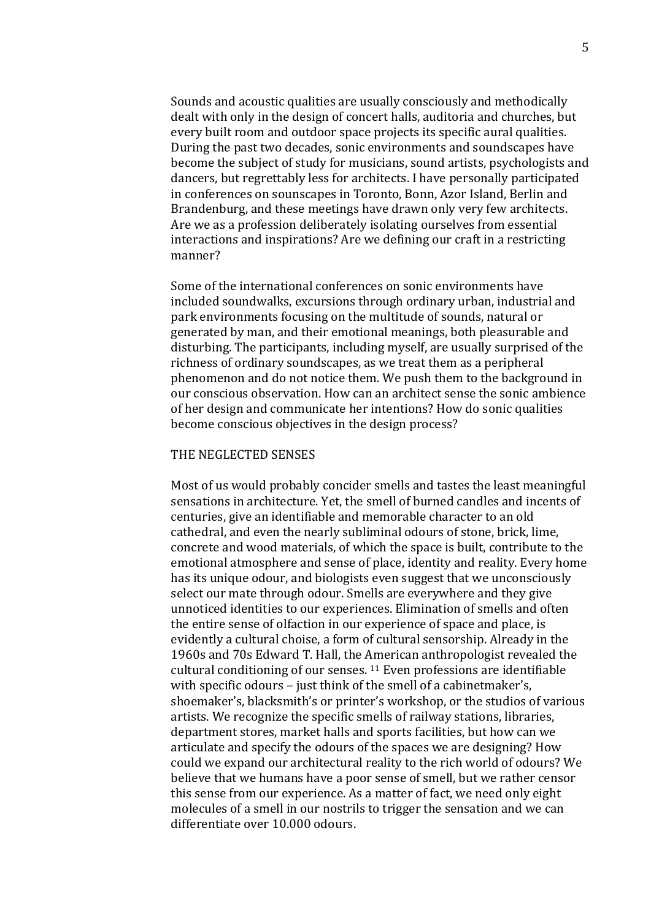Sounds and acoustic qualities are usually consciously and methodically dealt with only in the design of concert halls, auditoria and churches, but every built room and outdoor space projects its specific aural qualities. During the past two decades, sonic environments and soundscapes have become the subject of study for musicians, sound artists, psychologists and dancers, but regrettably less for architects. I have personally participated in conferences on sounscapes in Toronto, Bonn, Azor Island, Berlin and Brandenburg, and these meetings have drawn only very few architects. Are we as a profession deliberately isolating ourselves from essential interactions and inspirations? Are we defining our craft in a restricting manner?

Some of the international conferences on sonic environments have included soundwalks, excursions through ordinary urban, industrial and park environments focusing on the multitude of sounds, natural or generated by man, and their emotional meanings, both pleasurable and disturbing. The participants, including myself, are usually surprised of the richness of ordinary soundscapes, as we treat them as a peripheral phenomenon and do not notice them. We push them to the background in our conscious observation. How can an architect sense the sonic ambience of her design and communicate her intentions? How do sonic qualities become conscious objectives in the design process?

### THE NEGLECTED SENSES

Most of us would probably concider smells and tastes the least meaningful sensations in architecture. Yet, the smell of burned candles and incents of centuries, give an identifiable and memorable character to an old cathedral, and even the nearly subliminal odours of stone, brick, lime, concrete and wood materials, of which the space is built, contribute to the emotional atmosphere and sense of place, identity and reality. Every home has its unique odour, and biologists even suggest that we unconsciously select our mate through odour. Smells are everywhere and they give unnoticed identities to our experiences. Elimination of smells and often the entire sense of olfaction in our experience of space and place, is evidently a cultural choise, a form of cultural sensorship. Already in the 1960s and 70s Edward T. Hall, the American anthropologist revealed the cultural conditioning of our senses.  $11$  Even professions are identifiable with specific odours - just think of the smell of a cabinetmaker's, shoemaker's, blacksmith's or printer's workshop, or the studios of various artists. We recognize the specific smells of railway stations, libraries, department stores, market halls and sports facilities, but how can we articulate and specify the odours of the spaces we are designing? How could we expand our architectural reality to the rich world of odours? We believe that we humans have a poor sense of smell, but we rather censor this sense from our experience. As a matter of fact, we need only eight molecules of a smell in our nostrils to trigger the sensation and we can differentiate over 10.000 odours.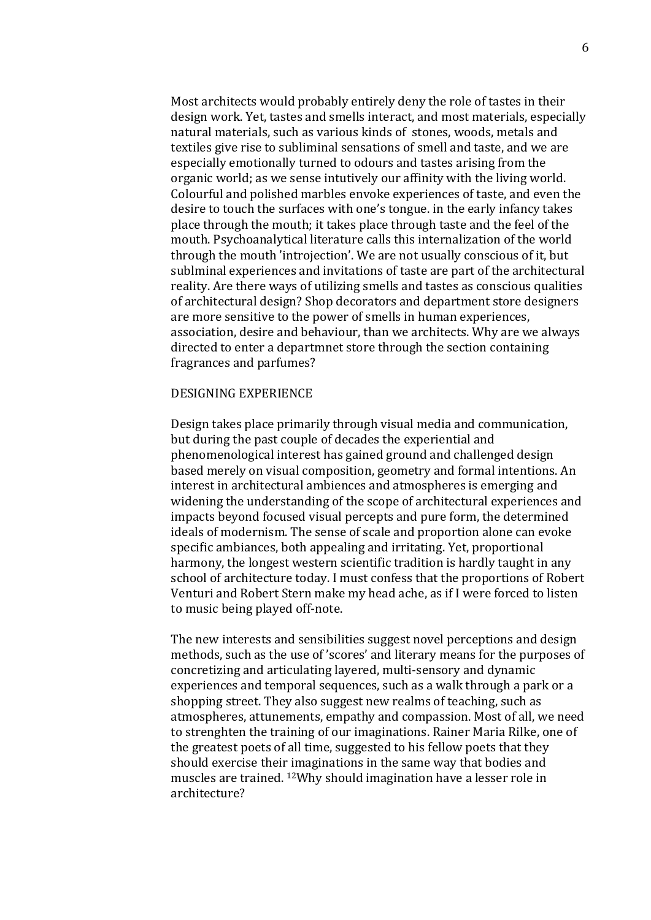Most architects would probably entirely deny the role of tastes in their design work. Yet, tastes and smells interact, and most materials, especially natural materials, such as various kinds of stones, woods, metals and textiles give rise to subliminal sensations of smell and taste, and we are especially emotionally turned to odours and tastes arising from the organic world; as we sense intutively our affinity with the living world. Colourful and polished marbles envoke experiences of taste, and even the desire to touch the surfaces with one's tongue. in the early infancy takes place through the mouth; it takes place through taste and the feel of the mouth. Psychoanalytical literature calls this internalization of the world through the mouth 'introjection'. We are not usually conscious of it, but sublminal experiences and invitations of taste are part of the architectural reality. Are there ways of utilizing smells and tastes as conscious qualities of architectural design? Shop decorators and department store designers are more sensitive to the power of smells in human experiences, association, desire and behaviour, than we architects. Why are we always directed to enter a departmnet store through the section containing fragrances and parfumes?

### DESIGNING EXPERIENCE

Design takes place primarily through visual media and communication, but during the past couple of decades the experiential and phenomenological interest has gained ground and challenged design based merely on visual composition, geometry and formal intentions. An interest in architectural ambiences and atmospheres is emerging and widening the understanding of the scope of architectural experiences and impacts beyond focused visual percepts and pure form, the determined ideals of modernism. The sense of scale and proportion alone can evoke specific ambiances, both appealing and irritating. Yet, proportional harmony, the longest western scientific tradition is hardly taught in any school of architecture today. I must confess that the proportions of Robert Venturi and Robert Stern make my head ache, as if I were forced to listen to music being played off-note.

The new interests and sensibilities suggest novel perceptions and design methods, such as the use of 'scores' and literary means for the purposes of concretizing and articulating layered, multi-sensory and dynamic experiences and temporal sequences, such as a walk through a park or a shopping street. They also suggest new realms of teaching, such as atmospheres, attunements, empathy and compassion. Most of all, we need to strenghten the training of our imaginations. Rainer Maria Rilke, one of the greatest poets of all time, suggested to his fellow poets that they should exercise their imaginations in the same way that bodies and muscles are trained.  $12W$ hy should imagination have a lesser role in architecture?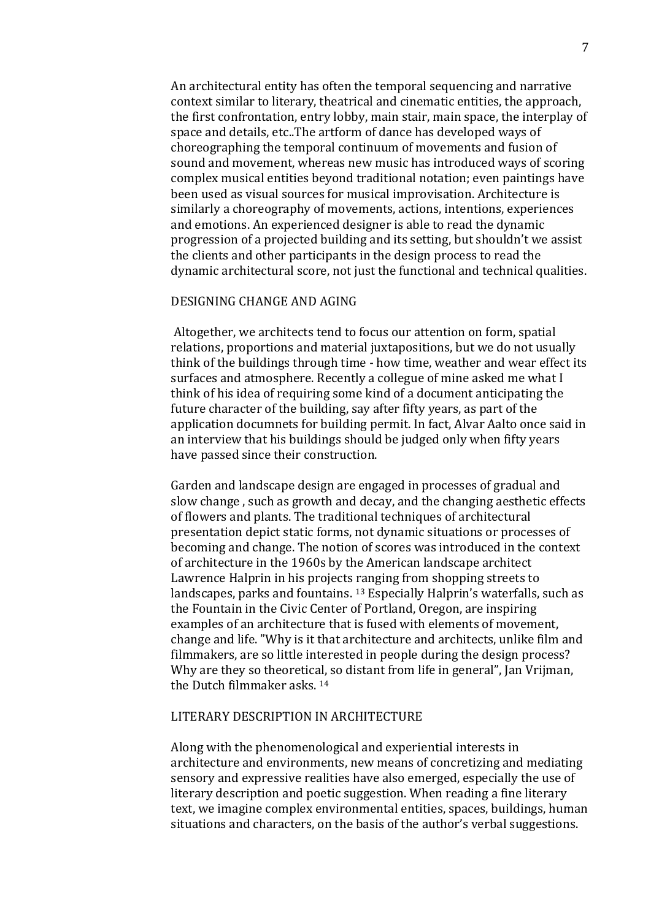An architectural entity has often the temporal sequencing and narrative context similar to literary, theatrical and cinematic entities, the approach, the first confrontation, entry lobby, main stair, main space, the interplay of space and details, etc..The artform of dance has developed ways of choreographing the temporal continuum of movements and fusion of sound and movement, whereas new music has introduced ways of scoring complex musical entities beyond traditional notation; even paintings have been used as visual sources for musical improvisation. Architecture is similarly a choreography of movements, actions, intentions, experiences and emotions. An experienced designer is able to read the dynamic progression of a projected building and its setting, but shouldn't we assist the clients and other participants in the design process to read the dynamic architectural score, not just the functional and technical qualities.

#### DESIGNING CHANGE AND AGING

Altogether, we architects tend to focus our attention on form, spatial relations, proportions and material juxtapositions, but we do not usually think of the buildings through time - how time, weather and wear effect its surfaces and atmosphere. Recently a collegue of mine asked me what I think of his idea of requiring some kind of a document anticipating the future character of the building, say after fifty years, as part of the application documnets for building permit. In fact, Alvar Aalto once said in an interview that his buildings should be judged only when fifty years have passed since their construction.

Garden and landscape design are engaged in processes of gradual and slow change, such as growth and decay, and the changing aesthetic effects of flowers and plants. The traditional techniques of architectural presentation depict static forms, not dynamic situations or processes of becoming and change. The notion of scores was introduced in the context of architecture in the 1960s by the American landscape architect Lawrence Halprin in his projects ranging from shopping streets to landscapes, parks and fountains. <sup>13</sup> Especially Halprin's waterfalls, such as the Fountain in the Civic Center of Portland, Oregon, are inspiring examples of an architecture that is fused with elements of movement, change and life. "Why is it that architecture and architects, unlike film and filmmakers, are so little interested in people during the design process? Why are they so theoretical, so distant from life in general", Jan Vrijman, the Dutch filmmaker asks. <sup>14</sup>

## LITERARY DESCRIPTION IN ARCHITECTURE

Along with the phenomenological and experiential interests in architecture and environments, new means of concretizing and mediating sensory and expressive realities have also emerged, especially the use of literary description and poetic suggestion. When reading a fine literary text, we imagine complex environmental entities, spaces, buildings, human situations and characters, on the basis of the author's verbal suggestions.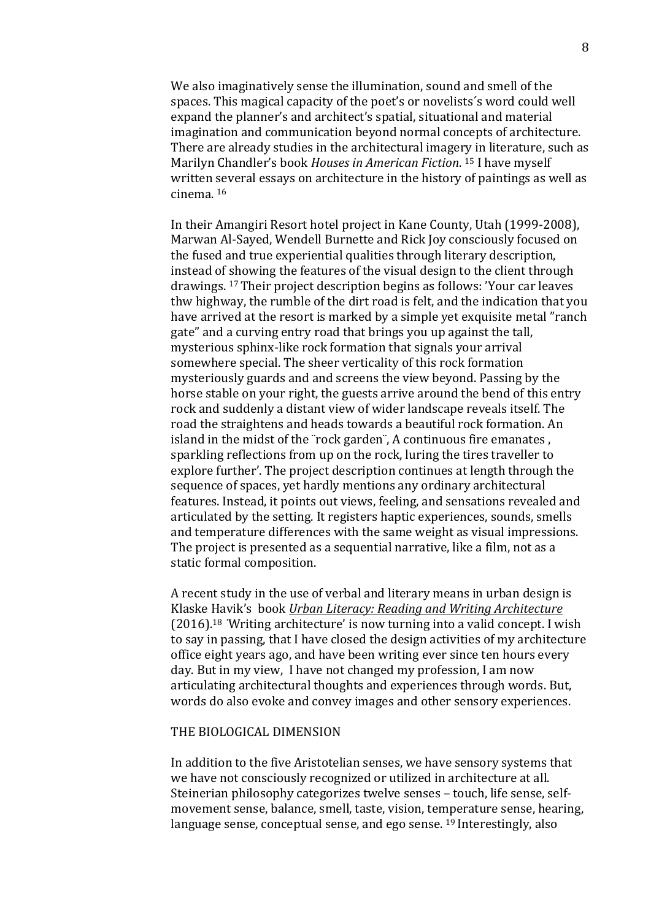We also imaginatively sense the illumination, sound and smell of the spaces. This magical capacity of the poet's or novelists's word could well expand the planner's and architect's spatial, situational and material imagination and communication beyond normal concepts of architecture. There are already studies in the architectural imagery in literature, such as Marilyn Chandler's book *Houses in American Fiction*. <sup>15</sup> I have myself written several essays on architecture in the history of paintings as well as  $cinema.$ <sup>16</sup>

In their Amangiri Resort hotel project in Kane County, Utah (1999-2008), Marwan Al-Sayed, Wendell Burnette and Rick Joy consciously focused on the fused and true experiential qualities through literary description, instead of showing the features of the visual design to the client through drawings.<sup>17</sup> Their project description begins as follows: 'Your car leaves thw highway, the rumble of the dirt road is felt, and the indication that you have arrived at the resort is marked by a simple yet exquisite metal "ranch gate" and a curving entry road that brings you up against the tall, mysterious sphinx-like rock formation that signals your arrival somewhere special. The sheer verticality of this rock formation mysteriously guards and and screens the view beyond. Passing by the horse stable on your right, the guests arrive around the bend of this entry rock and suddenly a distant view of wider landscape reveals itself. The road the straightens and heads towards a beautiful rock formation. An island in the midst of the "rock garden", A continuous fire emanates, sparkling reflections from up on the rock, luring the tires traveller to explore further'. The project description continues at length through the sequence of spaces, yet hardly mentions any ordinary architectural features. Instead, it points out views, feeling, and sensations revealed and articulated by the setting. It registers haptic experiences, sounds, smells and temperature differences with the same weight as visual impressions. The project is presented as a sequential narrative, like a film, not as a static formal composition.

A recent study in the use of verbal and literary means in urban design is Klaske Havik's book Urban Literacy: Reading and Writing Architecture  $(2016).$ <sup>18</sup> 'Writing architecture' is now turning into a valid concept. I wish to say in passing, that I have closed the design activities of my architecture office eight years ago, and have been writing ever since ten hours every day. But in my view, I have not changed my profession, I am now articulating architectural thoughts and experiences through words. But, words do also evoke and convey images and other sensory experiences.

#### THE BIOLOGICAL DIMENSION

In addition to the five Aristotelian senses, we have sensory systems that we have not consciously recognized or utilized in architecture at all. Steinerian philosophy categorizes twelve senses – touch, life sense, selfmovement sense, balance, smell, taste, vision, temperature sense, hearing, language sense, conceptual sense, and ego sense.  $^{19}$  Interestingly, also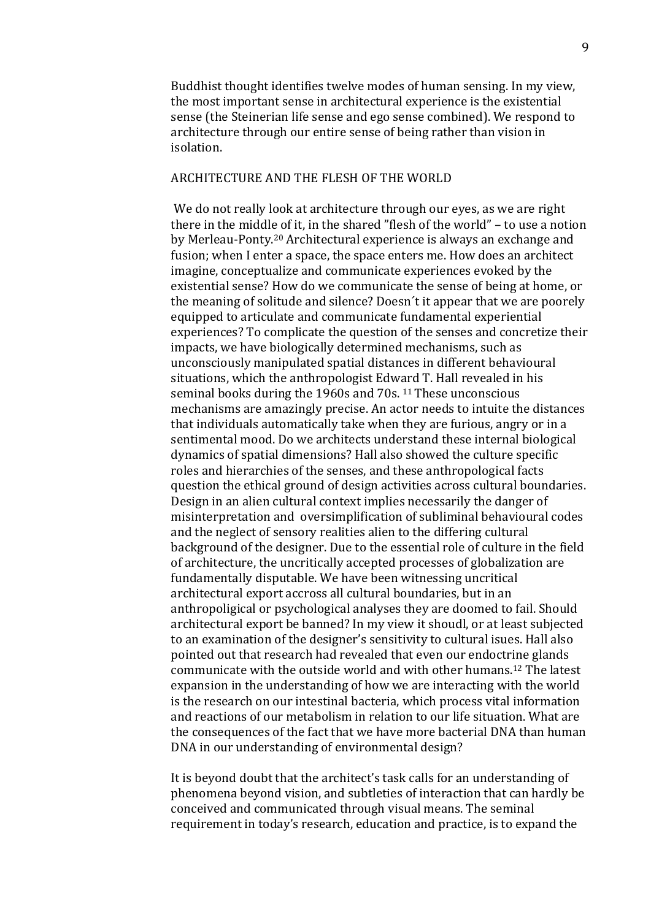Buddhist thought identifies twelve modes of human sensing. In my view, the most important sense in architectural experience is the existential sense (the Steinerian life sense and ego sense combined). We respond to architecture through our entire sense of being rather than vision in isolation.

## ARCHITECTURE AND THE FLESH OF THE WORLD

We do not really look at architecture through our eyes, as we are right there in the middle of it, in the shared "flesh of the world" – to use a notion by Merleau-Ponty.<sup>20</sup> Architectural experience is always an exchange and fusion; when I enter a space, the space enters me. How does an architect imagine, conceptualize and communicate experiences evoked by the existential sense? How do we communicate the sense of being at home, or the meaning of solitude and silence? Doesn't it appear that we are poorely equipped to articulate and communicate fundamental experiential experiences? To complicate the question of the senses and concretize their impacts, we have biologically determined mechanisms, such as unconsciously manipulated spatial distances in different behavioural situations, which the anthropologist Edward T. Hall revealed in his seminal books during the 1960s and 70s.<sup>11</sup> These unconscious mechanisms are amazingly precise. An actor needs to intuite the distances that individuals automatically take when they are furious, angry or in a sentimental mood. Do we architects understand these internal biological dynamics of spatial dimensions? Hall also showed the culture specific roles and hierarchies of the senses, and these anthropological facts question the ethical ground of design activities across cultural boundaries. Design in an alien cultural context implies necessarily the danger of misinterpretation and oversimplification of subliminal behavioural codes and the neglect of sensory realities alien to the differing cultural background of the designer. Due to the essential role of culture in the field of architecture, the uncritically accepted processes of globalization are fundamentally disputable. We have been witnessing uncritical architectural export accross all cultural boundaries, but in an anthropoligical or psychological analyses they are doomed to fail. Should architectural export be banned? In my view it shoudl, or at least subjected to an examination of the designer's sensitivity to cultural isues. Hall also pointed out that research had revealed that even our endoctrine glands communicate with the outside world and with other humans.<sup>12</sup> The latest expansion in the understanding of how we are interacting with the world is the research on our intestinal bacteria, which process vital information and reactions of our metabolism in relation to our life situation. What are the consequences of the fact that we have more bacterial DNA than human DNA in our understanding of environmental design?

It is beyond doubt that the architect's task calls for an understanding of phenomena beyond vision, and subtleties of interaction that can hardly be conceived and communicated through visual means. The seminal requirement in today's research, education and practice, is to expand the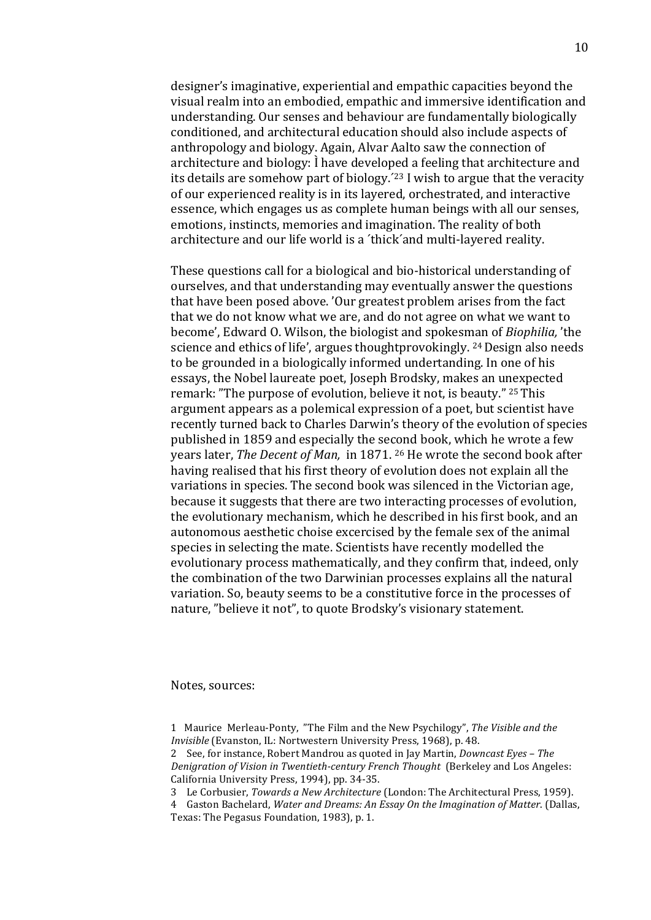designer's imaginative, experiential and empathic capacities beyond the visual realm into an embodied, empathic and immersive identification and understanding. Our senses and behaviour are fundamentally biologically conditioned, and architectural education should also include aspects of anthropology and biology. Again, Alvar Aalto saw the connection of architecture and biology: I have developed a feeling that architecture and its details are somehow part of biology.<sup> $23$ </sup> I wish to argue that the veracity of our experienced reality is in its layered, orchestrated, and interactive essence, which engages us as complete human beings with all our senses, emotions, instincts, memories and imagination. The reality of both architecture and our life world is a 'thick' and multi-layered reality.

These questions call for a biological and bio-historical understanding of ourselves, and that understanding may eventually answer the questions that have been posed above. 'Our greatest problem arises from the fact that we do not know what we are, and do not agree on what we want to become', Edward O. Wilson, the biologist and spokesman of *Biophilia*, 'the science and ethics of life', argues thoughtprovokingly. <sup>24</sup> Design also needs to be grounded in a biologically informed undertanding. In one of his essays, the Nobel laureate poet, Joseph Brodsky, makes an unexpected remark: "The purpose of evolution, believe it not, is beauty." <sup>25</sup> This argument appears as a polemical expression of a poet, but scientist have recently turned back to Charles Darwin's theory of the evolution of species published in 1859 and especially the second book, which he wrote a few years later, *The Decent of Man*, in 1871. <sup>26</sup> He wrote the second book after having realised that his first theory of evolution does not explain all the variations in species. The second book was silenced in the Victorian age, because it suggests that there are two interacting processes of evolution, the evolutionary mechanism, which he described in his first book, and an autonomous aesthetic choise excercised by the female sex of the animal species in selecting the mate. Scientists have recently modelled the evolutionary process mathematically, and they confirm that, indeed, only the combination of the two Darwinian processes explains all the natural variation. So, beauty seems to be a constitutive force in the processes of nature, "believe it not", to quote Brodsky's visionary statement.

Notes, sources:

<sup>1</sup> Maurice Merleau-Ponty, "The Film and the New Psychilogy", The Visible and the *Invisible* (Evanston, IL: Nortwestern University Press, 1968), p. 48.

<sup>2</sup> See, for instance, Robert Mandrou as quoted in Jay Martin, *Downcast Eyes - The Denigration of Vision in Twentieth-century French Thought* (Berkeley and Los Angeles: California University Press, 1994), pp. 34-35.

<sup>3</sup> Le Corbusier, *Towards a New Architecture* (London: The Architectural Press, 1959).

<sup>4</sup> Gaston Bachelard, *Water and Dreams: An Essay On the Imagination of Matter*. (Dallas, Texas: The Pegasus Foundation, 1983), p. 1.